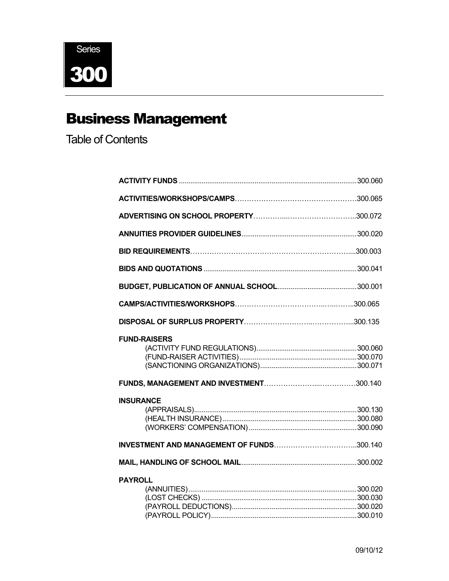

# Business Management

Table of Contents

| <b>FUND-RAISERS</b> |  |
|---------------------|--|
| <b>INSURANCE</b>    |  |
|                     |  |
|                     |  |
| <b>PAYROLL</b>      |  |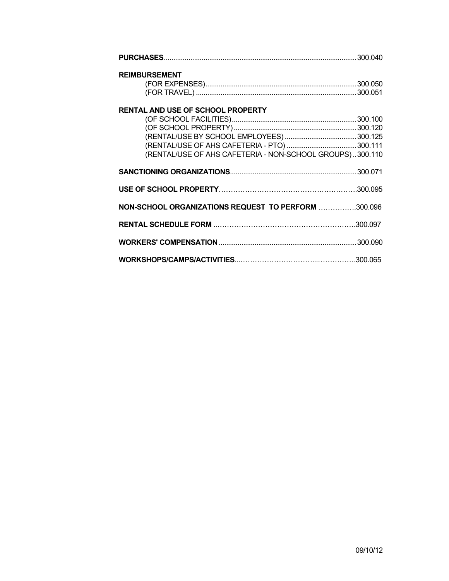| <b>REIMBURSEMENT</b>                                                                                 |  |
|------------------------------------------------------------------------------------------------------|--|
| <b>RENTAL AND USE OF SCHOOL PROPERTY</b><br>(RENTAL/USE OF AHS CAFETERIA - NON-SCHOOL GROUPS)300.110 |  |
|                                                                                                      |  |
|                                                                                                      |  |
| NON-SCHOOL ORGANIZATIONS REQUEST TO PERFORM 300.096                                                  |  |
|                                                                                                      |  |
|                                                                                                      |  |
|                                                                                                      |  |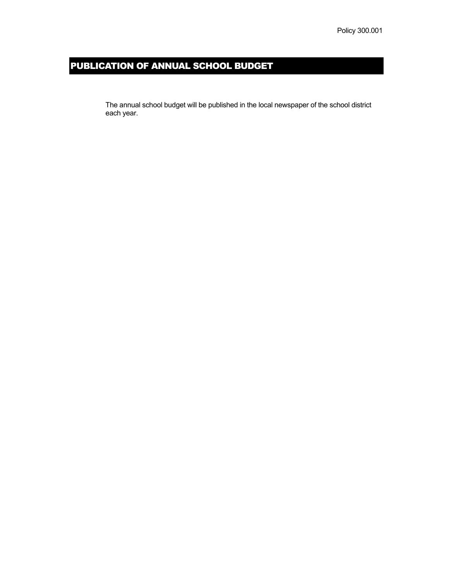# PUBLICATION OF ANNUAL SCHOOL BUDGET

The annual school budget will be published in the local newspaper of the school district each year.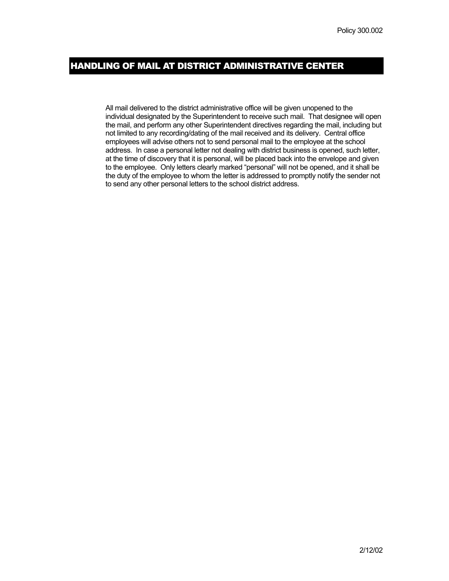### HANDLING OF MAIL AT DISTRICT ADMINISTRATIVE CENTER

All mail delivered to the district administrative office will be given unopened to the individual designated by the Superintendent to receive such mail. That designee will open the mail, and perform any other Superintendent directives regarding the mail, including but not limited to any recording/dating of the mail received and its delivery. Central office employees will advise others not to send personal mail to the employee at the school address. In case a personal letter not dealing with district business is opened, such letter, at the time of discovery that it is personal, will be placed back into the envelope and given to the employee. Only letters clearly marked "personal" will not be opened, and it shall be the duty of the employee to whom the letter is addressed to promptly notify the sender not to send any other personal letters to the school district address.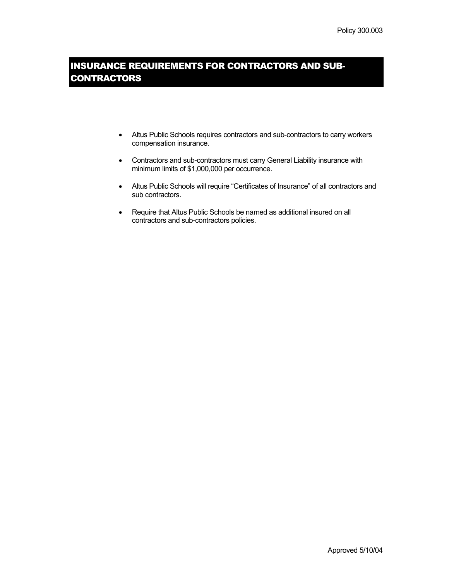### INSURANCE REQUIREMENTS FOR CONTRACTORS AND SUB-**CONTRACTORS**

- Altus Public Schools requires contractors and sub-contractors to carry workers compensation insurance.
- Contractors and sub-contractors must carry General Liability insurance with minimum limits of \$1,000,000 per occurrence.
- Altus Public Schools will require "Certificates of Insurance" of all contractors and sub contractors.
- Require that Altus Public Schools be named as additional insured on all contractors and sub-contractors policies.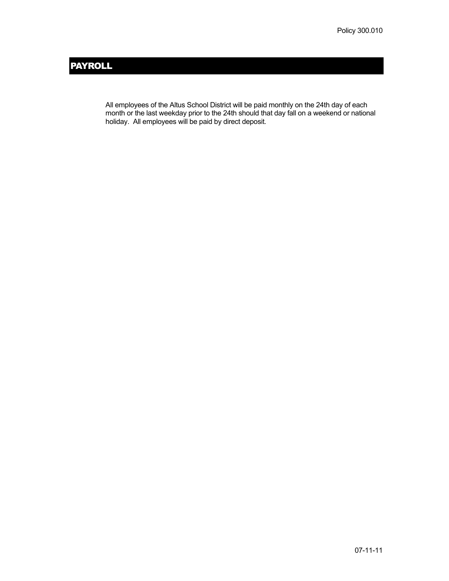### PAYROLL

All employees of the Altus School District will be paid monthly on the 24th day of each month or the last weekday prior to the 24th should that day fall on a weekend or national holiday. All employees will be paid by direct deposit.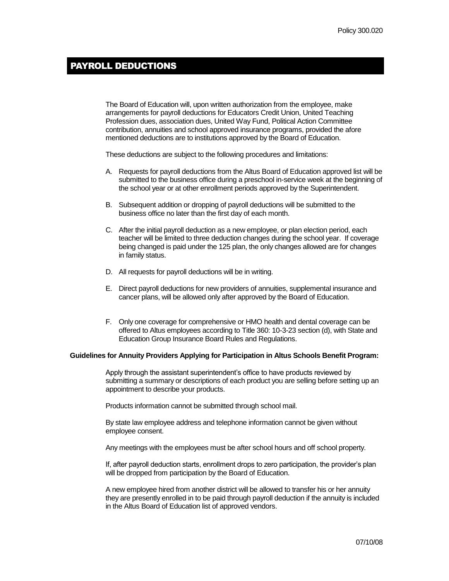### PAYROLL DEDUCTIONS

The Board of Education will, upon written authorization from the employee, make arrangements for payroll deductions for Educators Credit Union, United Teaching Profession dues, association dues, United Way Fund, Political Action Committee contribution, annuities and school approved insurance programs, provided the afore mentioned deductions are to institutions approved by the Board of Education.

These deductions are subject to the following procedures and limitations:

- A. Requests for payroll deductions from the Altus Board of Education approved list will be submitted to the business office during a preschool in-service week at the beginning of the school year or at other enrollment periods approved by the Superintendent.
- B. Subsequent addition or dropping of payroll deductions will be submitted to the business office no later than the first day of each month.
- C. After the initial payroll deduction as a new employee, or plan election period, each teacher will be limited to three deduction changes during the school year. If coverage being changed is paid under the 125 plan, the only changes allowed are for changes in family status.
- D. All requests for payroll deductions will be in writing.
- E. Direct payroll deductions for new providers of annuities, supplemental insurance and cancer plans, will be allowed only after approved by the Board of Education.
- F. Only one coverage for comprehensive or HMO health and dental coverage can be offered to Altus employees according to Title 360: 10-3-23 section (d), with State and Education Group Insurance Board Rules and Regulations.

#### **Guidelines for Annuity Providers Applying for Participation in Altus Schools Benefit Program:**

Apply through the assistant superintendent's office to have products reviewed by submitting a summary or descriptions of each product you are selling before setting up an appointment to describe your products.

Products information cannot be submitted through school mail.

By state law employee address and telephone information cannot be given without employee consent.

Any meetings with the employees must be after school hours and off school property.

If, after payroll deduction starts, enrollment drops to zero participation, the provider's plan will be dropped from participation by the Board of Education.

A new employee hired from another district will be allowed to transfer his or her annuity they are presently enrolled in to be paid through payroll deduction if the annuity is included in the Altus Board of Education list of approved vendors.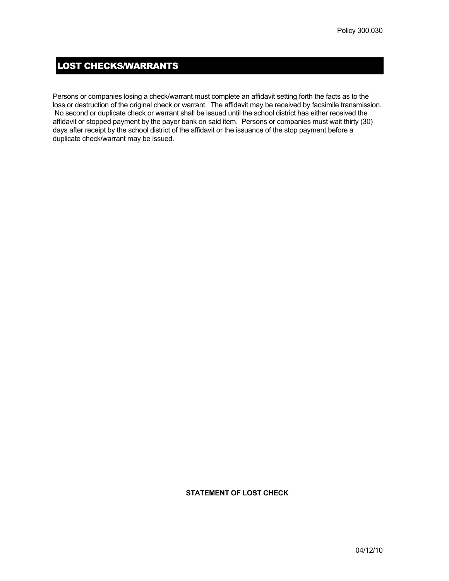### LOST CHECKS/WARRANTS

Persons or companies losing a check/warrant must complete an affidavit setting forth the facts as to the loss or destruction of the original check or warrant. The affidavit may be received by facsimile transmission. No second or duplicate check or warrant shall be issued until the school district has either received the affidavit or stopped payment by the payer bank on said item. Persons or companies must wait thirty (30) days after receipt by the school district of the affidavit or the issuance of the stop payment before a duplicate check/warrant may be issued.

#### **STATEMENT OF LOST CHECK**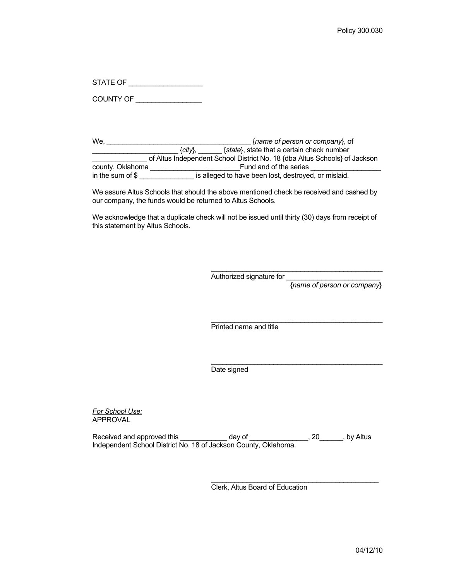STATE OF \_\_\_\_\_\_\_\_\_\_\_\_\_\_\_\_\_\_\_

COUNTY OF \_\_\_\_\_\_\_\_\_\_\_\_\_\_\_\_\_

We, \_\_\_\_\_\_\_\_\_\_\_\_\_\_\_\_\_\_\_\_\_\_\_\_\_\_\_\_\_\_\_\_\_\_\_\_\_ {*name of person or company*}, of \_\_\_\_\_\_\_\_\_\_\_\_\_\_\_\_\_\_\_\_\_\_ {*city*}, \_\_\_\_\_\_ {*state*}, state that a certain check number \_\_\_\_\_\_\_\_\_\_\_\_\_\_ of Altus Independent School District No. 18 {dba Altus Schools} of Jackson county, Oklahoma \_\_\_\_\_\_\_\_\_\_\_\_\_\_\_\_\_\_\_\_\_\_\_Fund and of the series \_\_\_\_\_\_\_\_\_\_\_\_\_\_\_\_\_\_ in the sum of \$ \_\_\_\_\_\_\_\_\_\_\_\_\_\_\_\_\_ is alleged to have been lost, destroyed, or mislaid.

We assure Altus Schools that should the above mentioned check be received and cashed by our company, the funds would be returned to Altus Schools.

We acknowledge that a duplicate check will not be issued until thirty (30) days from receipt of this statement by Altus Schools.

Authorized signature for \_\_\_\_\_\_\_\_\_\_\_\_\_\_\_\_\_\_\_\_\_\_\_\_

{*name of person or company*}

 $\mathcal{L}_\text{max}$  , and the set of the set of the set of the set of the set of the set of the set of the set of the set of the set of the set of the set of the set of the set of the set of the set of the set of the set of the

\_\_\_\_\_\_\_\_\_\_\_\_\_\_\_\_\_\_\_\_\_\_\_\_\_\_\_\_\_\_\_\_\_\_\_\_\_\_\_\_\_\_\_\_

 $\mathcal{L}_\text{max}$  , and the set of the set of the set of the set of the set of the set of the set of the set of the set of the set of the set of the set of the set of the set of the set of the set of the set of the set of the

\_\_\_\_\_\_\_\_\_\_\_\_\_\_\_\_\_\_\_\_\_\_\_\_\_\_\_\_\_\_\_\_\_\_\_\_\_\_\_\_\_\_\_

Printed name and title

Date signed

*For School Use:* APPROVAL

Received and approved this \_\_\_\_\_\_\_\_\_\_\_\_ day of \_\_\_\_\_\_\_\_\_\_\_\_\_, 20\_\_\_\_\_\_, by Altus Independent School District No. 18 of Jackson County, Oklahoma.

Clerk, Altus Board of Education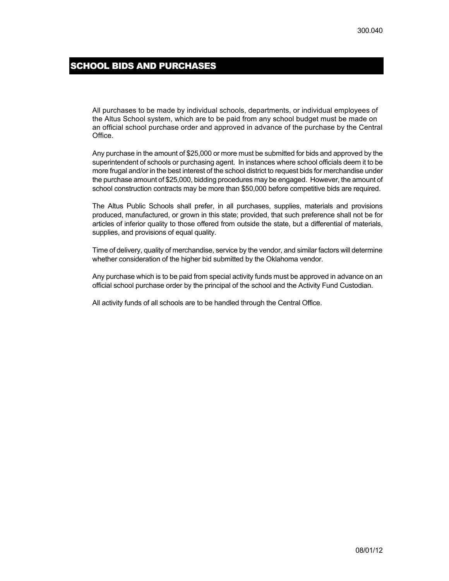### SCHOOL BIDS AND PURCHASES

All purchases to be made by individual schools, departments, or individual employees of the Altus School system, which are to be paid from any school budget must be made on an official school purchase order and approved in advance of the purchase by the Central Office.

Any purchase in the amount of \$25,000 or more must be submitted for bids and approved by the superintendent of schools or purchasing agent. In instances where school officials deem it to be more frugal and/or in the best interest of the school district to request bids for merchandise under the purchase amount of \$25,000, bidding procedures may be engaged. However, the amount of school construction contracts may be more than \$50,000 before competitive bids are required.

The Altus Public Schools shall prefer, in all purchases, supplies, materials and provisions produced, manufactured, or grown in this state; provided, that such preference shall not be for articles of inferior quality to those offered from outside the state, but a differential of materials, supplies, and provisions of equal quality.

Time of delivery, quality of merchandise, service by the vendor, and similar factors will determine whether consideration of the higher bid submitted by the Oklahoma vendor.

Any purchase which is to be paid from special activity funds must be approved in advance on an official school purchase order by the principal of the school and the Activity Fund Custodian.

All activity funds of all schools are to be handled through the Central Office.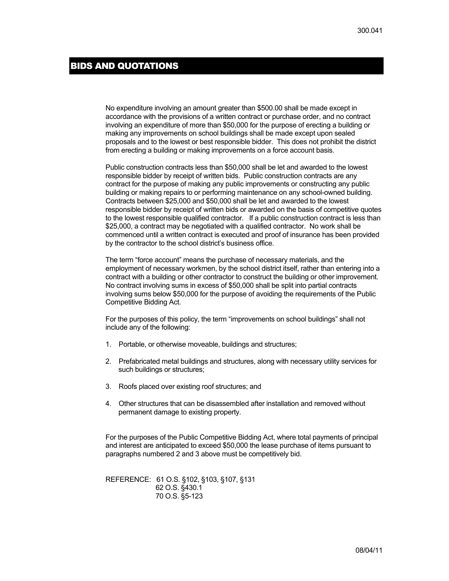### BIDS AND QUOTATIONS

No expenditure involving an amount greater than \$500.00 shall be made except in accordance with the provisions of a written contract or purchase order, and no contract involving an expenditure of more than \$50,000 for the purpose of erecting a building or making any improvements on school buildings shall be made except upon sealed proposals and to the lowest or best responsible bidder. This does not prohibit the district from erecting a building or making improvements on a force account basis.

Public construction contracts less than \$50,000 shall be let and awarded to the lowest responsible bidder by receipt of written bids. Public construction contracts are any contract for the purpose of making any public improvements or constructing any public building or making repairs to or performing maintenance on any school-owned building. Contracts between \$25,000 and \$50,000 shall be let and awarded to the lowest responsible bidder by receipt of written bids or awarded on the basis of competitive quotes to the lowest responsible qualified contractor. If a public construction contract is less than \$25,000, a contract may be negotiated with a qualified contractor. No work shall be commenced until a written contract is executed and proof of insurance has been provided by the contractor to the school district's business office.

The term "force account" means the purchase of necessary materials, and the employment of necessary workmen, by the school district itself, rather than entering into a contract with a building or other contractor to construct the building or other improvement. No contract involving sums in excess of \$50,000 shall be split into partial contracts involving sums below \$50,000 for the purpose of avoiding the requirements of the Public Competitive Bidding Act.

For the purposes of this policy, the term "improvements on school buildings" shall not include any of the following:

- 1. Portable, or otherwise moveable, buildings and structures;
- 2. Prefabricated metal buildings and structures, along with necessary utility services for such buildings or structures;
- 3. Roofs placed over existing roof structures; and
- 4. Other structures that can be disassembled after installation and removed without permanent damage to existing property.

For the purposes of the Public Competitive Bidding Act, where total payments of principal and interest are anticipated to exceed \$50,000 the lease purchase of items pursuant to paragraphs numbered 2 and 3 above must be competitively bid.

REFERENCE: 61 O.S. §102, §103, §107, §131 62 O.S. §430.1 70 O.S. §5-123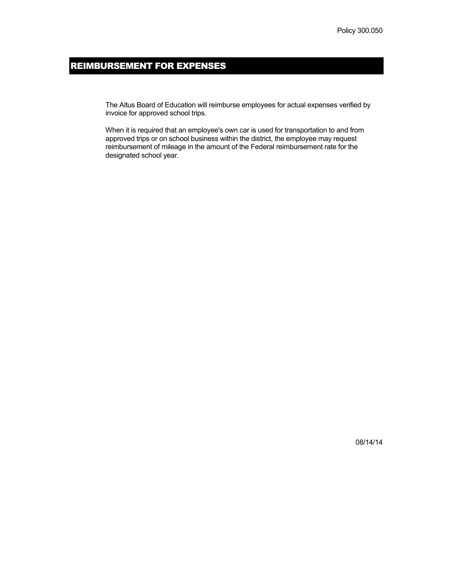### REIMBURSEMENT FOR EXPENSES

The Altus Board of Education will reimburse employees for actual expenses verified by invoice for approved school trips.

When it is required that an employee's own car is used for transportation to and from approved trips or on school business within the district, the employee may request reimbursement of mileage in the amount of the Federal reimbursement rate for the designated school year.

08/14/14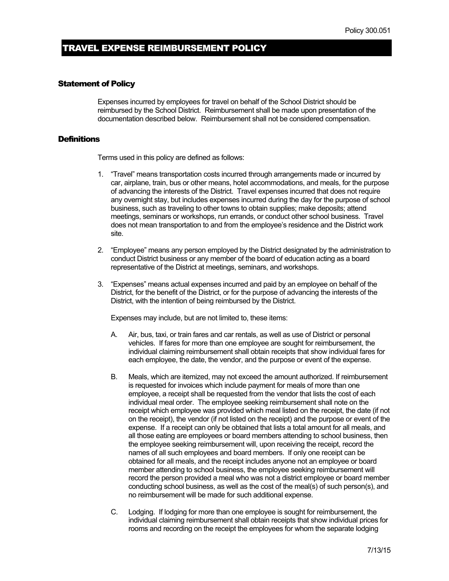### TRAVEL EXPENSE REIMBURSEMENT POLICY

#### Statement of Policy

Expenses incurred by employees for travel on behalf of the School District should be reimbursed by the School District. Reimbursement shall be made upon presentation of the documentation described below. Reimbursement shall not be considered compensation.

#### **Definitions**

Terms used in this policy are defined as follows:

- 1. "Travel" means transportation costs incurred through arrangements made or incurred by car, airplane, train, bus or other means, hotel accommodations, and meals, for the purpose of advancing the interests of the District. Travel expenses incurred that does not require any overnight stay, but includes expenses incurred during the day for the purpose of school business, such as traveling to other towns to obtain supplies; make deposits; attend meetings, seminars or workshops, run errands, or conduct other school business. Travel does not mean transportation to and from the employee's residence and the District work site.
- 2. "Employee" means any person employed by the District designated by the administration to conduct District business or any member of the board of education acting as a board representative of the District at meetings, seminars, and workshops.
- 3. "Expenses" means actual expenses incurred and paid by an employee on behalf of the District, for the benefit of the District, or for the purpose of advancing the interests of the District, with the intention of being reimbursed by the District.

Expenses may include, but are not limited to, these items:

- A. Air, bus, taxi, or train fares and car rentals, as well as use of District or personal vehicles. If fares for more than one employee are sought for reimbursement, the individual claiming reimbursement shall obtain receipts that show individual fares for each employee, the date, the vendor, and the purpose or event of the expense.
- B. Meals, which are itemized, may not exceed the amount authorized. If reimbursement is requested for invoices which include payment for meals of more than one employee, a receipt shall be requested from the vendor that lists the cost of each individual meal order. The employee seeking reimbursement shall note on the receipt which employee was provided which meal listed on the receipt, the date (if not on the receipt), the vendor (if not listed on the receipt) and the purpose or event of the expense. If a receipt can only be obtained that lists a total amount for all meals, and all those eating are employees or board members attending to school business, then the employee seeking reimbursement will, upon receiving the receipt, record the names of all such employees and board members. If only one receipt can be obtained for all meals, and the receipt includes anyone not an employee or board member attending to school business, the employee seeking reimbursement will record the person provided a meal who was not a district employee or board member conducting school business, as well as the cost of the meal(s) of such person(s), and no reimbursement will be made for such additional expense.
- C. Lodging. If lodging for more than one employee is sought for reimbursement, the individual claiming reimbursement shall obtain receipts that show individual prices for rooms and recording on the receipt the employees for whom the separate lodging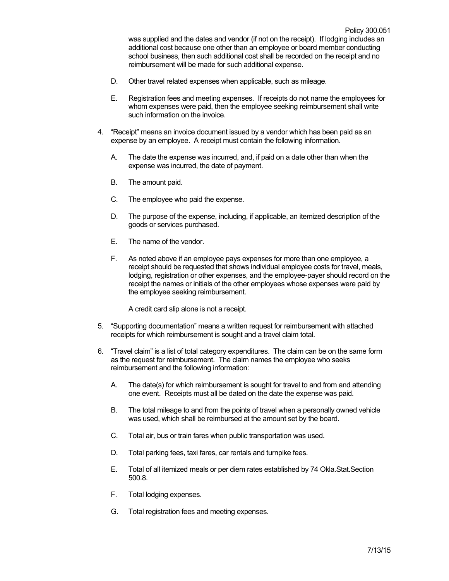was supplied and the dates and vendor (if not on the receipt). If lodging includes an additional cost because one other than an employee or board member conducting school business, then such additional cost shall be recorded on the receipt and no reimbursement will be made for such additional expense.

- D. Other travel related expenses when applicable, such as mileage.
- E. Registration fees and meeting expenses. If receipts do not name the employees for whom expenses were paid, then the employee seeking reimbursement shall write such information on the invoice.
- 4. "Receipt" means an invoice document issued by a vendor which has been paid as an expense by an employee. A receipt must contain the following information.
	- A. The date the expense was incurred, and, if paid on a date other than when the expense was incurred, the date of payment.
	- B. The amount paid.
	- C. The employee who paid the expense.
	- D. The purpose of the expense, including, if applicable, an itemized description of the goods or services purchased.
	- E. The name of the vendor.
	- F. As noted above if an employee pays expenses for more than one employee, a receipt should be requested that shows individual employee costs for travel, meals, lodging, registration or other expenses, and the employee-payer should record on the receipt the names or initials of the other employees whose expenses were paid by the employee seeking reimbursement.

A credit card slip alone is not a receipt.

- 5. "Supporting documentation" means a written request for reimbursement with attached receipts for which reimbursement is sought and a travel claim total.
- 6. "Travel claim" is a list of total category expenditures. The claim can be on the same form as the request for reimbursement. The claim names the employee who seeks reimbursement and the following information:
	- A. The date(s) for which reimbursement is sought for travel to and from and attending one event. Receipts must all be dated on the date the expense was paid.
	- B. The total mileage to and from the points of travel when a personally owned vehicle was used, which shall be reimbursed at the amount set by the board.
	- C. Total air, bus or train fares when public transportation was used.
	- D. Total parking fees, taxi fares, car rentals and turnpike fees.
	- E. Total of all itemized meals or per diem rates established by 74 Okla.Stat.Section 500.8.
	- F. Total lodging expenses.
	- G. Total registration fees and meeting expenses.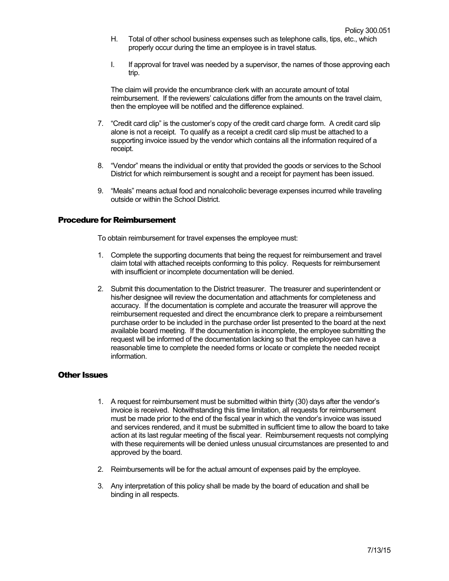- H. Total of other school business expenses such as telephone calls, tips, etc., which properly occur during the time an employee is in travel status.
- I. If approval for travel was needed by a supervisor, the names of those approving each trip.

The claim will provide the encumbrance clerk with an accurate amount of total reimbursement. If the reviewers' calculations differ from the amounts on the travel claim, then the employee will be notified and the difference explained.

- 7. "Credit card clip" is the customer's copy of the credit card charge form. A credit card slip alone is not a receipt. To qualify as a receipt a credit card slip must be attached to a supporting invoice issued by the vendor which contains all the information required of a receipt.
- 8. "Vendor" means the individual or entity that provided the goods or services to the School District for which reimbursement is sought and a receipt for payment has been issued.
- 9. "Meals" means actual food and nonalcoholic beverage expenses incurred while traveling outside or within the School District.

#### Procedure for Reimbursement

To obtain reimbursement for travel expenses the employee must:

- 1. Complete the supporting documents that being the request for reimbursement and travel claim total with attached receipts conforming to this policy. Requests for reimbursement with insufficient or incomplete documentation will be denied.
- 2. Submit this documentation to the District treasurer. The treasurer and superintendent or his/her designee will review the documentation and attachments for completeness and accuracy. If the documentation is complete and accurate the treasurer will approve the reimbursement requested and direct the encumbrance clerk to prepare a reimbursement purchase order to be included in the purchase order list presented to the board at the next available board meeting. If the documentation is incomplete, the employee submitting the request will be informed of the documentation lacking so that the employee can have a reasonable time to complete the needed forms or locate or complete the needed receipt information.

#### **Other Issues**

- 1. A request for reimbursement must be submitted within thirty (30) days after the vendor's invoice is received. Notwithstanding this time limitation, all requests for reimbursement must be made prior to the end of the fiscal year in which the vendor's invoice was issued and services rendered, and it must be submitted in sufficient time to allow the board to take action at its last regular meeting of the fiscal year. Reimbursement requests not complying with these requirements will be denied unless unusual circumstances are presented to and approved by the board.
- 2. Reimbursements will be for the actual amount of expenses paid by the employee.
- 3. Any interpretation of this policy shall be made by the board of education and shall be binding in all respects.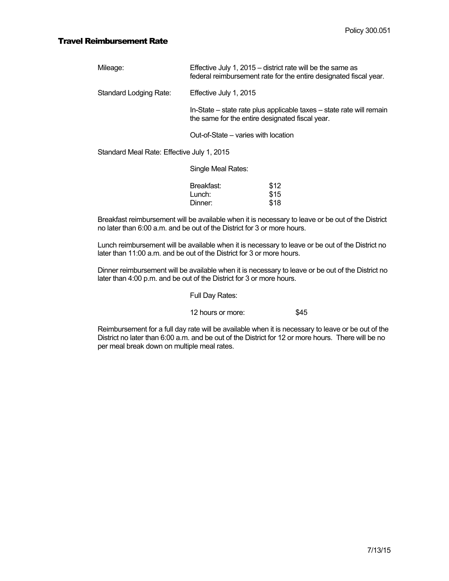#### Travel Reimbursement Rate

| Mileage:                                   | Effective July 1, 2015 – district rate will be the same as<br>federal reimbursement rate for the entire designated fiscal year. |  |  |  |
|--------------------------------------------|---------------------------------------------------------------------------------------------------------------------------------|--|--|--|
| Standard Lodging Rate:                     | Effective July 1, 2015                                                                                                          |  |  |  |
|                                            | In-State – state rate plus applicable taxes – state rate will remain<br>the same for the entire designated fiscal year.         |  |  |  |
|                                            | Out-of-State – varies with location                                                                                             |  |  |  |
| Standard Meal Rate: Effective July 1, 2015 |                                                                                                                                 |  |  |  |
|                                            | Single Meal Rates:                                                                                                              |  |  |  |
|                                            |                                                                                                                                 |  |  |  |

| Breakfast: | \$12 |
|------------|------|
| Lunch:     | \$15 |
| Dinner:    | \$18 |

Breakfast reimbursement will be available when it is necessary to leave or be out of the District no later than 6:00 a.m. and be out of the District for 3 or more hours.

Lunch reimbursement will be available when it is necessary to leave or be out of the District no later than 11:00 a.m. and be out of the District for 3 or more hours.

Dinner reimbursement will be available when it is necessary to leave or be out of the District no later than 4:00 p.m. and be out of the District for 3 or more hours.

Full Day Rates:

12 hours or more: \$45

Reimbursement for a full day rate will be available when it is necessary to leave or be out of the District no later than 6:00 a.m. and be out of the District for 12 or more hours. There will be no per meal break down on multiple meal rates.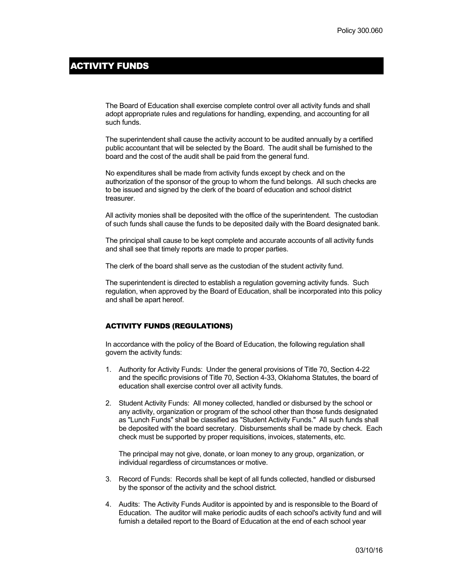### ACTIVITY FUNDS

The Board of Education shall exercise complete control over all activity funds and shall adopt appropriate rules and regulations for handling, expending, and accounting for all such funds.

The superintendent shall cause the activity account to be audited annually by a certified public accountant that will be selected by the Board. The audit shall be furnished to the board and the cost of the audit shall be paid from the general fund.

No expenditures shall be made from activity funds except by check and on the authorization of the sponsor of the group to whom the fund belongs. All such checks are to be issued and signed by the clerk of the board of education and school district treasurer.

All activity monies shall be deposited with the office of the superintendent. The custodian of such funds shall cause the funds to be deposited daily with the Board designated bank.

The principal shall cause to be kept complete and accurate accounts of all activity funds and shall see that timely reports are made to proper parties.

The clerk of the board shall serve as the custodian of the student activity fund.

The superintendent is directed to establish a regulation governing activity funds. Such regulation, when approved by the Board of Education, shall be incorporated into this policy and shall be apart hereof.

#### ACTIVITY FUNDS (REGULATIONS)

In accordance with the policy of the Board of Education, the following regulation shall govern the activity funds:

- 1. Authority for Activity Funds: Under the general provisions of Title 70, Section 4-22 and the specific provisions of Title 70, Section 4-33, Oklahoma Statutes, the board of education shall exercise control over all activity funds.
- 2. Student Activity Funds: All money collected, handled or disbursed by the school or any activity, organization or program of the school other than those funds designated as "Lunch Funds" shall be classified as "Student Activity Funds." All such funds shall be deposited with the board secretary. Disbursements shall be made by check. Each check must be supported by proper requisitions, invoices, statements, etc.

The principal may not give, donate, or loan money to any group, organization, or individual regardless of circumstances or motive.

- 3. Record of Funds: Records shall be kept of all funds collected, handled or disbursed by the sponsor of the activity and the school district.
- 4. Audits: The Activity Funds Auditor is appointed by and is responsible to the Board of Education. The auditor will make periodic audits of each school's activity fund and will furnish a detailed report to the Board of Education at the end of each school year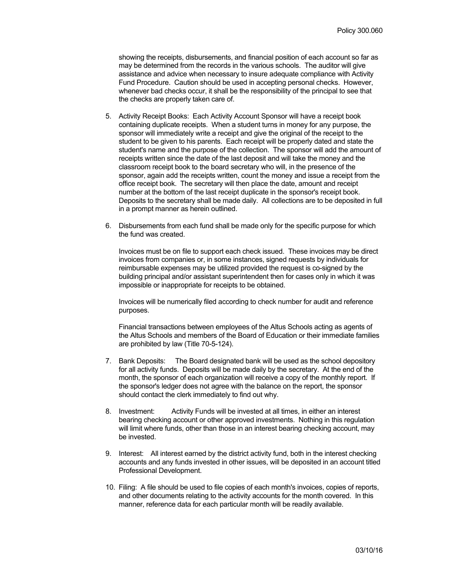showing the receipts, disbursements, and financial position of each account so far as may be determined from the records in the various schools. The auditor will give assistance and advice when necessary to insure adequate compliance with Activity Fund Procedure. Caution should be used in accepting personal checks. However, whenever bad checks occur, it shall be the responsibility of the principal to see that the checks are properly taken care of.

- 5. Activity Receipt Books: Each Activity Account Sponsor will have a receipt book containing duplicate receipts. When a student turns in money for any purpose, the sponsor will immediately write a receipt and give the original of the receipt to the student to be given to his parents. Each receipt will be properly dated and state the student's name and the purpose of the collection. The sponsor will add the amount of receipts written since the date of the last deposit and will take the money and the classroom receipt book to the board secretary who will, in the presence of the sponsor, again add the receipts written, count the money and issue a receipt from the office receipt book. The secretary will then place the date, amount and receipt number at the bottom of the last receipt duplicate in the sponsor's receipt book. Deposits to the secretary shall be made daily. All collections are to be deposited in full in a prompt manner as herein outlined.
- 6. Disbursements from each fund shall be made only for the specific purpose for which the fund was created.

Invoices must be on file to support each check issued. These invoices may be direct invoices from companies or, in some instances, signed requests by individuals for reimbursable expenses may be utilized provided the request is co-signed by the building principal and/or assistant superintendent then for cases only in which it was impossible or inappropriate for receipts to be obtained.

Invoices will be numerically filed according to check number for audit and reference purposes.

Financial transactions between employees of the Altus Schools acting as agents of the Altus Schools and members of the Board of Education or their immediate families are prohibited by law (Title 70-5-124).

- 7. Bank Deposits: The Board designated bank will be used as the school depository for all activity funds. Deposits will be made daily by the secretary. At the end of the month, the sponsor of each organization will receive a copy of the monthly report. If the sponsor's ledger does not agree with the balance on the report, the sponsor should contact the clerk immediately to find out why.
- 8. Investment: Activity Funds will be invested at all times, in either an interest bearing checking account or other approved investments. Nothing in this regulation will limit where funds, other than those in an interest bearing checking account, may be invested.
- 9. Interest: All interest earned by the district activity fund, both in the interest checking accounts and any funds invested in other issues, will be deposited in an account titled Professional Development.
- 10. Filing: A file should be used to file copies of each month's invoices, copies of reports, and other documents relating to the activity accounts for the month covered. In this manner, reference data for each particular month will be readily available.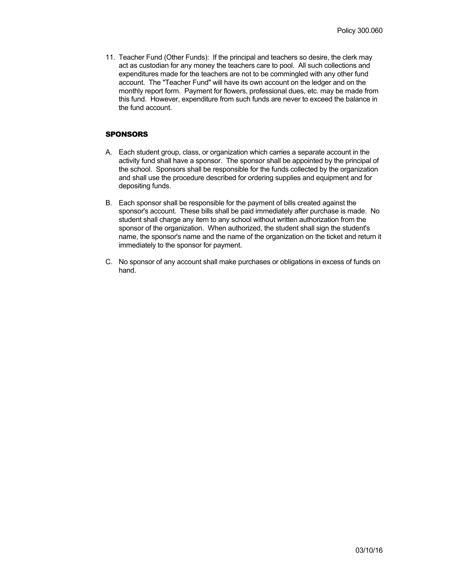11. Teacher Fund (Other Funds): If the principal and teachers so desire, the clerk may act as custodian for any money the teachers care to pool. All such collections and expenditures made for the teachers are not to be commingled with any other fund account. The "Teacher Fund" will have its own account on the ledger and on the monthly report form. Payment for flowers, professional dues, etc. may be made from this fund. However, expenditure from such funds are never to exceed the balance in the fund account.

#### **SPONSORS**

- A. Each student group, class, or organization which carries a separate account in the activity fund shall have a sponsor. The sponsor shall be appointed by the principal of the school. Sponsors shall be responsible for the funds collected by the organization and shall use the procedure described for ordering supplies and equipment and for depositing funds.
- B. Each sponsor shall be responsible for the payment of bills created against the sponsor's account. These bills shall be paid immediately after purchase is made. No student shall charge any item to any school without written authorization from the sponsor of the organization. When authorized, the student shall sign the student's name, the sponsor's name and the name of the organization on the ticket and return it immediately to the sponsor for payment.
- C. No sponsor of any account shall make purchases or obligations in excess of funds on hand.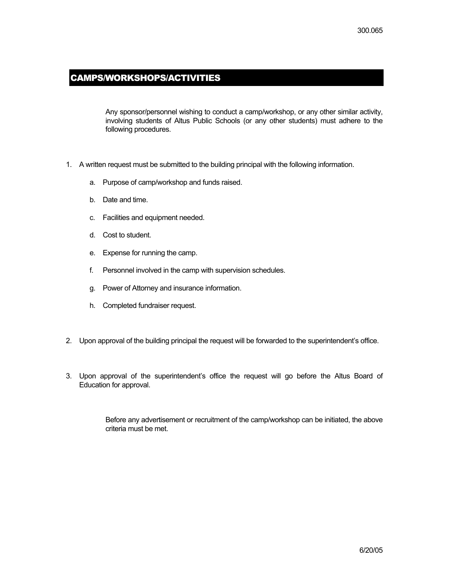### CAMPS/WORKSHOPS/ACTIVITIES

Any sponsor/personnel wishing to conduct a camp/workshop, or any other similar activity, involving students of Altus Public Schools (or any other students) must adhere to the following procedures.

- 1. A written request must be submitted to the building principal with the following information.
	- a. Purpose of camp/workshop and funds raised.
	- b. Date and time.
	- c. Facilities and equipment needed.
	- d. Cost to student.
	- e. Expense for running the camp.
	- f. Personnel involved in the camp with supervision schedules.
	- g. Power of Attorney and insurance information.
	- h. Completed fundraiser request.
- 2. Upon approval of the building principal the request will be forwarded to the superintendent's office.
- 3. Upon approval of the superintendent's office the request will go before the Altus Board of Education for approval.

Before any advertisement or recruitment of the camp/workshop can be initiated, the above criteria must be met.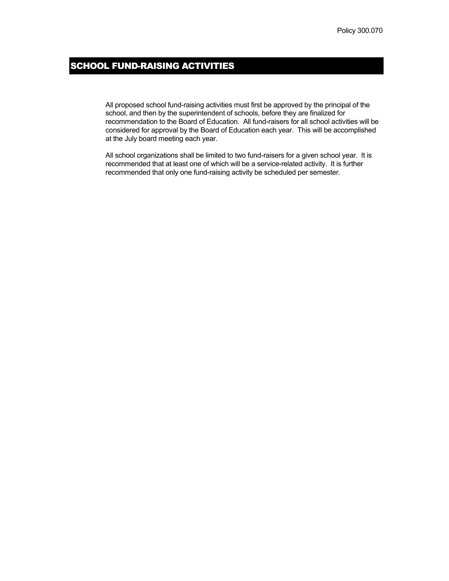### SCHOOL FUND-RAISING ACTIVITIES

All proposed school fund-raising activities must first be approved by the principal of the school, and then by the superintendent of schools, before they are finalized for recommendation to the Board of Education. All fund-raisers for all school activities will be considered for approval by the Board of Education each year. This will be accomplished at the July board meeting each year.

All school organizations shall be limited to two fund-raisers for a given school year. It is recommended that at least one of which will be a service-related activity. It is further recommended that only one fund-raising activity be scheduled per semester.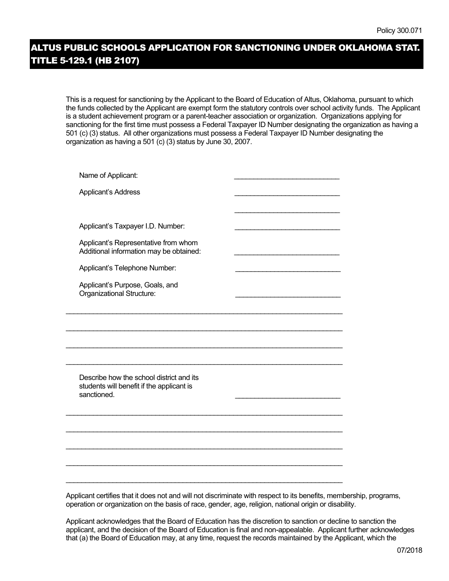### ALTUS PUBLIC SCHOOLS APPLICATION FOR SANCTIONING UNDER OKLAHOMA STAT. TITLE 5-129.1 (HB 2107)

This is a request for sanctioning by the Applicant to the Board of Education of Altus, Oklahoma, pursuant to which the funds collected by the Applicant are exempt form the statutory controls over school activity funds. The Applicant is a student achievement program or a parent-teacher association or organization. Organizations applying for sanctioning for the first time must possess a Federal Taxpayer ID Number designating the organization as having a 501 (c) (3) status. All other organizations must possess a Federal Taxpayer ID Number designating the organization as having a 501 (c) (3) status by June 30, 2007.

| Name of Applicant:                                                                                   |  |
|------------------------------------------------------------------------------------------------------|--|
| Applicant's Address                                                                                  |  |
|                                                                                                      |  |
| Applicant's Taxpayer I.D. Number:                                                                    |  |
| Applicant's Representative from whom<br>Additional information may be obtained:                      |  |
| Applicant's Telephone Number:                                                                        |  |
| Applicant's Purpose, Goals, and<br>Organizational Structure:                                         |  |
|                                                                                                      |  |
|                                                                                                      |  |
|                                                                                                      |  |
|                                                                                                      |  |
| Describe how the school district and its<br>students will benefit if the applicant is<br>sanctioned. |  |
|                                                                                                      |  |
|                                                                                                      |  |
|                                                                                                      |  |
|                                                                                                      |  |
|                                                                                                      |  |

Applicant certifies that it does not and will not discriminate with respect to its benefits, membership, programs, operation or organization on the basis of race, gender, age, religion, national origin or disability.

Applicant acknowledges that the Board of Education has the discretion to sanction or decline to sanction the applicant, and the decision of the Board of Education is final and non-appealable. Applicant further acknowledges that (a) the Board of Education may, at any time, request the records maintained by the Applicant, which the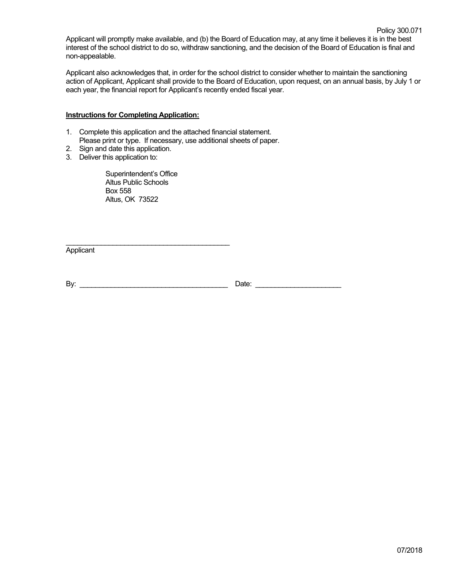Applicant will promptly make available, and (b) the Board of Education may, at any time it believes it is in the best interest of the school district to do so, withdraw sanctioning, and the decision of the Board of Education is final and non-appealable.

Applicant also acknowledges that, in order for the school district to consider whether to maintain the sanctioning action of Applicant, Applicant shall provide to the Board of Education, upon request, on an annual basis, by July 1 or each year, the financial report for Applicant's recently ended fiscal year.

#### **Instructions for Completing Application:**

- 1. Complete this application and the attached financial statement. Please print or type. If necessary, use additional sheets of paper.
- 2. Sign and date this application.
- 3. Deliver this application to:

Superintendent's Office Altus Public Schools Box 558 Altus, OK 73522

 $\mathcal{L}_\text{max}$  and  $\mathcal{L}_\text{max}$  and  $\mathcal{L}_\text{max}$  and  $\mathcal{L}_\text{max}$  and  $\mathcal{L}_\text{max}$ 

**Applicant** 

By: \_\_\_\_\_\_\_\_\_\_\_\_\_\_\_\_\_\_\_\_\_\_\_\_\_\_\_\_\_\_\_\_\_\_\_\_\_\_ Date: \_\_\_\_\_\_\_\_\_\_\_\_\_\_\_\_\_\_\_\_\_\_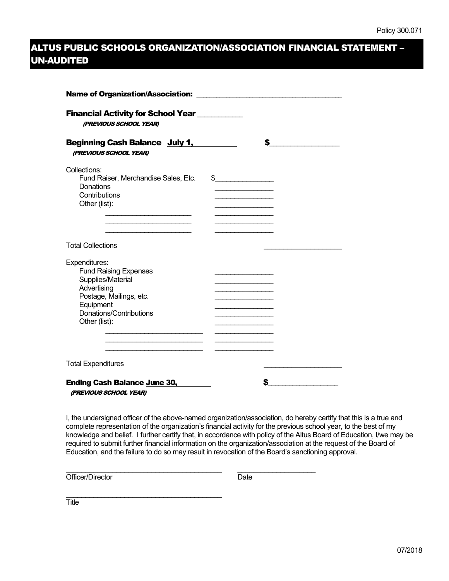### ALTUS PUBLIC SCHOOLS ORGANIZATION/ASSOCIATION FINANCIAL STATEMENT – UN-AUDITED

| (PREVIOUS SCHOOL YEAR)                                                                                                                                                |               |   |
|-----------------------------------------------------------------------------------------------------------------------------------------------------------------------|---------------|---|
| <b>Beginning Cash Balance</b> July 1,<br>(PREVIOUS SCHOOL YEAR)                                                                                                       |               | S |
| Collections:<br>Fund Raiser, Merchandise Sales, Etc.<br>Donations<br>Contributions<br>Other (list):                                                                   | $\frac{1}{2}$ |   |
| <b>Total Collections</b>                                                                                                                                              |               |   |
| Expenditures:<br><b>Fund Raising Expenses</b><br>Supplies/Material<br>Advertising<br>Postage, Mailings, etc.<br>Equipment<br>Donations/Contributions<br>Other (list): |               |   |
| <b>Total Expenditures</b>                                                                                                                                             |               |   |

I, the undersigned officer of the above-named organization/association, do hereby certify that this is a true and complete representation of the organization's financial activity for the previous school year, to the best of my knowledge and belief. I further certify that, in accordance with policy of the Altus Board of Education, I/we may be required to submit further financial information on the organization/association at the request of the Board of Education, and the failure to do so may result in revocation of the Board's sanctioning approval.

\_\_\_\_\_\_\_\_\_\_\_\_\_\_\_\_\_\_\_\_\_\_\_\_\_\_\_\_\_\_\_\_\_\_\_\_\_\_\_\_ \_\_\_\_\_\_\_\_\_\_\_\_\_\_\_\_\_\_\_\_

 $\mathcal{L}_\text{max}$  , we can also assume that the contribution of  $\mathcal{L}_\text{max}$ 

Officer/Director Date

**Title**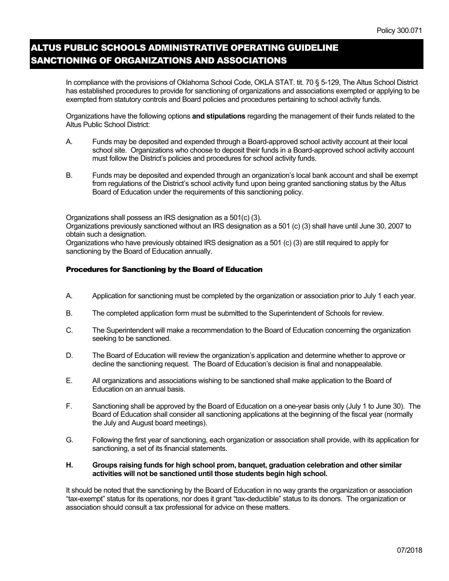### ALTUS PUBLIC SCHOOLS ADMINISTRATIVE OPERATING GUIDELINE SANCTIONING OF ORGANIZATIONS AND ASSOCIATIONS

In compliance with the provisions of Oklahoma School Code, OKLA STAT. tit. 70 § 5-129, The Altus School District has established procedures to provide for sanctioning of organizations and associations exempted or applying to be exempted from statutory controls and Board policies and procedures pertaining to school activity funds.

Organizations have the following options **and stipulations** regarding the management of their funds related to the Altus Public School District:

- A. Funds may be deposited and expended through a Board-approved school activity account at their local school site. Organizations who choose to deposit their funds in a Board-approved school activity account must follow the District's policies and procedures for school activity funds.
- B. Funds may be deposited and expended through an organization's local bank account and shall be exempt from regulations of the District's school activity fund upon being granted sanctioning status by the Altus Board of Education under the requirements of this sanctioning policy.

Organizations shall possess an IRS designation as a 501(c) (3).

Organizations previously sanctioned without an IRS designation as a 501 (c) (3) shall have until June 30, 2007 to obtain such a designation.

Organizations who have previously obtained IRS designation as a 501 (c) (3) are still required to apply for sanctioning by the Board of Education annually.

#### Procedures for Sanctioning by the Board of Education

- A. Application for sanctioning must be completed by the organization or association prior to July 1 each year.
- B. The completed application form must be submitted to the Superintendent of Schools for review.
- C. The Superintendent will make a recommendation to the Board of Education concerning the organization seeking to be sanctioned.
- D. The Board of Education will review the organization's application and determine whether to approve or decline the sanctioning request. The Board of Education's decision is final and nonappealable.
- E. All organizations and associations wishing to be sanctioned shall make application to the Board of Education on an annual basis.
- F. Sanctioning shall be approved by the Board of Education on a one-year basis only (July 1 to June 30). The Board of Education shall consider all sanctioning applications at the beginning of the fiscal year (normally the July and August board meetings).
- G. Following the first year of sanctioning, each organization or association shall provide, with its application for sanctioning, a set of its financial statements.

#### **H. Groups raising funds for high school prom, banquet, graduation celebration and other similar activities will not be sanctioned until those students begin high school.**

It should be noted that the sanctioning by the Board of Education in no way grants the organization or association "tax-exempt" status for its operations, nor does it grant "tax-deductible" status to its donors. The organization or association should consult a tax professional for advice on these matters.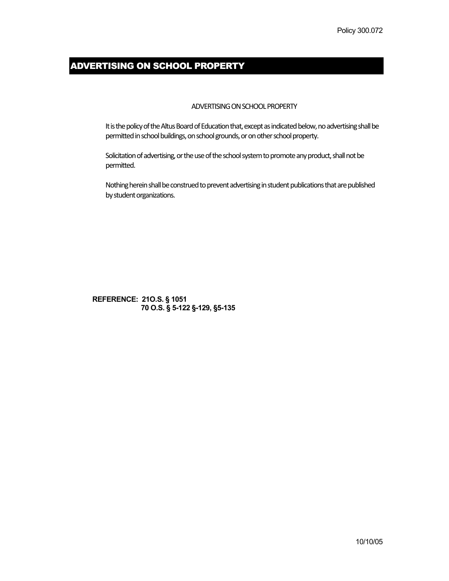## ADVERTISING ON SCHOOL PROPERTY

#### ADVERTISING ON SCHOOL PROPERTY

It is the policy of the Altus Board of Education that, except as indicated below, no advertising shall be permitted in school buildings, on school grounds, or on other school property.

Solicitation of advertising, or the use of the school system to promote any product, shall not be permitted.

Nothing herein shall be construed to prevent advertising in student publications that are published by student organizations.

**REFERENCE: 21O.S. § 1051 70 O.S. § 5-122 §-129, §5-135**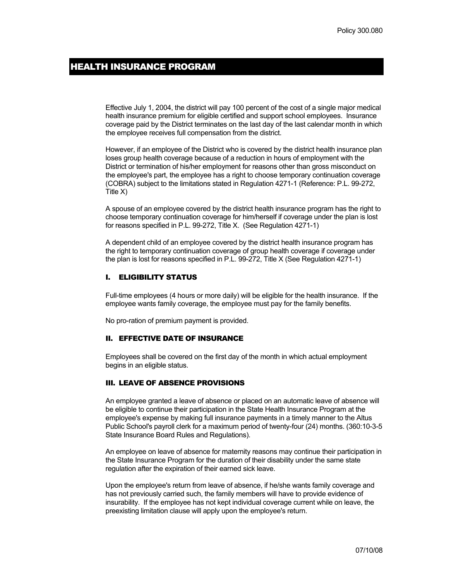### HEALTH INSURANCE PROGRAM

Effective July 1, 2004, the district will pay 100 percent of the cost of a single major medical health insurance premium for eligible certified and support school employees. Insurance coverage paid by the District terminates on the last day of the last calendar month in which the employee receives full compensation from the district.

However, if an employee of the District who is covered by the district health insurance plan loses group health coverage because of a reduction in hours of employment with the District or termination of his/her employment for reasons other than gross misconduct on the employee's part, the employee has a right to choose temporary continuation coverage (COBRA) subject to the limitations stated in Regulation 4271-1 (Reference: P.L. 99-272, Title X)

A spouse of an employee covered by the district health insurance program has the right to choose temporary continuation coverage for him/herself if coverage under the plan is lost for reasons specified in P.L. 99-272, Title X. (See Regulation 4271-1)

A dependent child of an employee covered by the district health insurance program has the right to temporary continuation coverage of group health coverage if coverage under the plan is lost for reasons specified in P.L. 99-272, Title X (See Regulation 4271-1)

#### I. ELIGIBILITY STATUS

Full-time employees (4 hours or more daily) will be eligible for the health insurance. If the employee wants family coverage, the employee must pay for the family benefits.

No pro-ration of premium payment is provided.

#### II. EFFECTIVE DATE OF INSURANCE

Employees shall be covered on the first day of the month in which actual employment begins in an eligible status.

#### III. LEAVE OF ABSENCE PROVISIONS

An employee granted a leave of absence or placed on an automatic leave of absence will be eligible to continue their participation in the State Health Insurance Program at the employee's expense by making full insurance payments in a timely manner to the Altus Public School's payroll clerk for a maximum period of twenty-four (24) months. (360:10-3-5 State Insurance Board Rules and Regulations).

An employee on leave of absence for maternity reasons may continue their participation in the State Insurance Program for the duration of their disability under the same state regulation after the expiration of their earned sick leave.

Upon the employee's return from leave of absence, if he/she wants family coverage and has not previously carried such, the family members will have to provide evidence of insurability. If the employee has not kept individual coverage current while on leave, the preexisting limitation clause will apply upon the employee's return.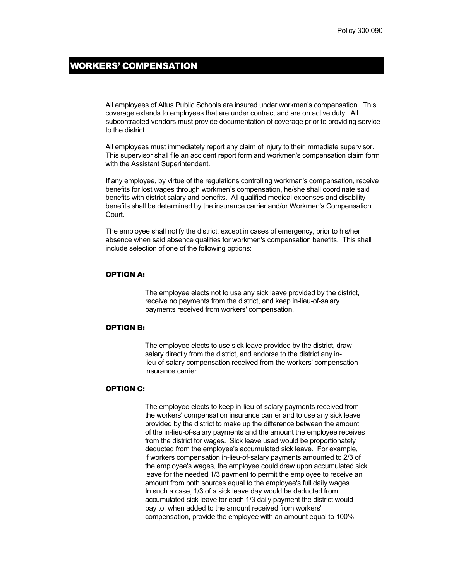### WORKERS' COMPENSATION

All employees of Altus Public Schools are insured under workmen's compensation. This coverage extends to employees that are under contract and are on active duty. All subcontracted vendors must provide documentation of coverage prior to providing service to the district.

All employees must immediately report any claim of injury to their immediate supervisor. This supervisor shall file an accident report form and workmen's compensation claim form with the Assistant Superintendent.

If any employee, by virtue of the regulations controlling workman's compensation, receive benefits for lost wages through workmen's compensation, he/she shall coordinate said benefits with district salary and benefits. All qualified medical expenses and disability benefits shall be determined by the insurance carrier and/or Workmen's Compensation Court.

The employee shall notify the district, except in cases of emergency, prior to his/her absence when said absence qualifies for workmen's compensation benefits. This shall include selection of one of the following options:

#### OPTION A:

The employee elects not to use any sick leave provided by the district, receive no payments from the district, and keep in-lieu-of-salary payments received from workers' compensation.

#### OPTION B:

 The employee elects to use sick leave provided by the district, draw salary directly from the district, and endorse to the district any in lieu-of-salary compensation received from the workers' compensation insurance carrier.

#### OPTION C:

 The employee elects to keep in-lieu-of-salary payments received from the workers' compensation insurance carrier and to use any sick leave provided by the district to make up the difference between the amount of the in-lieu-of-salary payments and the amount the employee receives from the district for wages. Sick leave used would be proportionately deducted from the employee's accumulated sick leave. For example, if workers compensation in-lieu-of-salary payments amounted to 2/3 of the employee's wages, the employee could draw upon accumulated sick leave for the needed 1/3 payment to permit the employee to receive an amount from both sources equal to the employee's full daily wages. In such a case, 1/3 of a sick leave day would be deducted from accumulated sick leave for each 1/3 daily payment the district would pay to, when added to the amount received from workers' compensation, provide the employee with an amount equal to 100%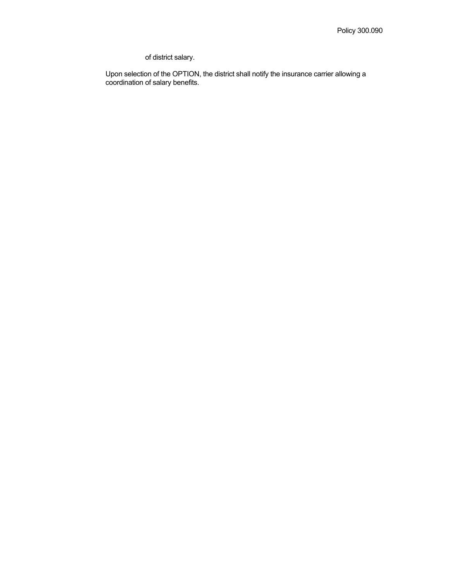of district salary.

Upon selection of the OPTION, the district shall notify the insurance carrier allowing a coordination of salary benefits.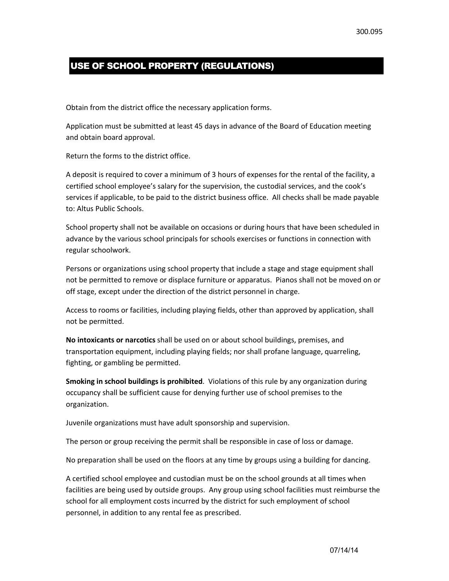### USE OF SCHOOL PROPERTY (REGULATIONS)

Obtain from the district office the necessary application forms.

Application must be submitted at least 45 days in advance of the Board of Education meeting and obtain board approval.

Return the forms to the district office.

A deposit is required to cover a minimum of 3 hours of expenses for the rental of the facility, a certified school employee's salary for the supervision, the custodial services, and the cook's services if applicable, to be paid to the district business office. All checks shall be made payable to: Altus Public Schools.

School property shall not be available on occasions or during hours that have been scheduled in advance by the various school principals for schools exercises or functions in connection with regular schoolwork.

Persons or organizations using school property that include a stage and stage equipment shall not be permitted to remove or displace furniture or apparatus. Pianos shall not be moved on or off stage, except under the direction of the district personnel in charge.

Access to rooms or facilities, including playing fields, other than approved by application, shall not be permitted.

**No intoxicants or narcotics** shall be used on or about school buildings, premises, and transportation equipment, including playing fields; nor shall profane language, quarreling, fighting, or gambling be permitted.

**Smoking in school buildings is prohibited**. Violations of this rule by any organization during occupancy shall be sufficient cause for denying further use of school premises to the organization.

Juvenile organizations must have adult sponsorship and supervision.

The person or group receiving the permit shall be responsible in case of loss or damage.

No preparation shall be used on the floors at any time by groups using a building for dancing.

A certified school employee and custodian must be on the school grounds at all times when facilities are being used by outside groups. Any group using school facilities must reimburse the school for all employment costs incurred by the district for such employment of school personnel, in addition to any rental fee as prescribed.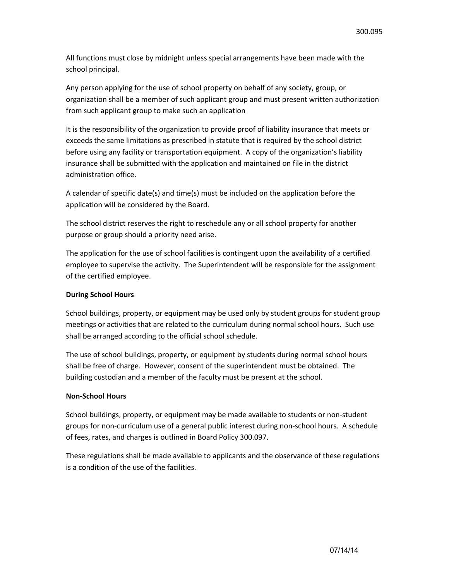All functions must close by midnight unless special arrangements have been made with the school principal.

Any person applying for the use of school property on behalf of any society, group, or organization shall be a member of such applicant group and must present written authorization from such applicant group to make such an application

It is the responsibility of the organization to provide proof of liability insurance that meets or exceeds the same limitations as prescribed in statute that is required by the school district before using any facility or transportation equipment. A copy of the organization's liability insurance shall be submitted with the application and maintained on file in the district administration office.

A calendar of specific date(s) and time(s) must be included on the application before the application will be considered by the Board.

The school district reserves the right to reschedule any or all school property for another purpose or group should a priority need arise.

The application for the use of school facilities is contingent upon the availability of a certified employee to supervise the activity. The Superintendent will be responsible for the assignment of the certified employee.

#### **During School Hours**

School buildings, property, or equipment may be used only by student groups for student group meetings or activities that are related to the curriculum during normal school hours. Such use shall be arranged according to the official school schedule.

The use of school buildings, property, or equipment by students during normal school hours shall be free of charge. However, consent of the superintendent must be obtained. The building custodian and a member of the faculty must be present at the school.

#### **Non-School Hours**

School buildings, property, or equipment may be made available to students or non-student groups for non-curriculum use of a general public interest during non-school hours. A schedule of fees, rates, and charges is outlined in Board Policy 300.097.

These regulations shall be made available to applicants and the observance of these regulations is a condition of the use of the facilities.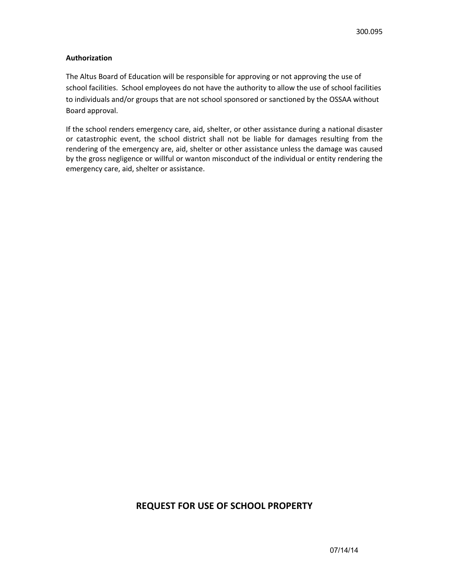#### **Authorization**

The Altus Board of Education will be responsible for approving or not approving the use of school facilities. School employees do not have the authority to allow the use of school facilities to individuals and/or groups that are not school sponsored or sanctioned by the OSSAA without Board approval.

If the school renders emergency care, aid, shelter, or other assistance during a national disaster or catastrophic event, the school district shall not be liable for damages resulting from the rendering of the emergency are, aid, shelter or other assistance unless the damage was caused by the gross negligence or willful or wanton misconduct of the individual or entity rendering the emergency care, aid, shelter or assistance.

### **REQUEST FOR USE OF SCHOOL PROPERTY**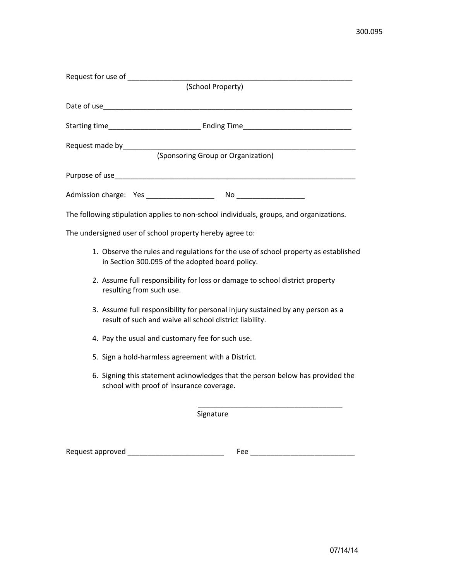| (School Property)                                                                                                                         |
|-------------------------------------------------------------------------------------------------------------------------------------------|
|                                                                                                                                           |
|                                                                                                                                           |
|                                                                                                                                           |
| (Sponsoring Group or Organization)                                                                                                        |
|                                                                                                                                           |
|                                                                                                                                           |
| The following stipulation applies to non-school individuals, groups, and organizations.                                                   |
| The undersigned user of school property hereby agree to:                                                                                  |
| 1. Observe the rules and regulations for the use of school property as established<br>in Section 300.095 of the adopted board policy.     |
| 2. Assume full responsibility for loss or damage to school district property<br>resulting from such use.                                  |
| 3. Assume full responsibility for personal injury sustained by any person as a<br>result of such and waive all school district liability. |
| 4. Pay the usual and customary fee for such use.                                                                                          |
| 5. Sign a hold-harmless agreement with a District.                                                                                        |
| 6. Signing this statement acknowledges that the person below has provided the<br>school with proof of insurance coverage.                 |
| Signature                                                                                                                                 |

Request approved \_\_\_\_\_\_\_\_\_\_\_\_\_\_\_\_\_\_\_\_\_\_\_\_ Fee \_\_\_\_\_\_\_\_\_\_\_\_\_\_\_\_\_\_\_\_\_\_\_\_\_\_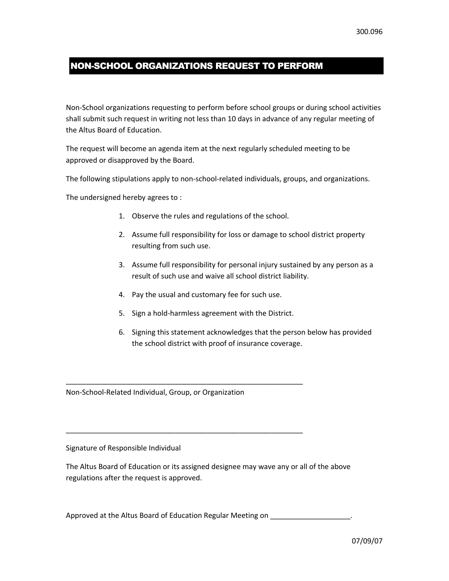### NON-SCHOOL ORGANIZATIONS REQUEST TO PERFORM

Non-School organizations requesting to perform before school groups or during school activities shall submit such request in writing not less than 10 days in advance of any regular meeting of the Altus Board of Education.

The request will become an agenda item at the next regularly scheduled meeting to be approved or disapproved by the Board.

The following stipulations apply to non-school-related individuals, groups, and organizations.

The undersigned hereby agrees to :

- 1. Observe the rules and regulations of the school.
- 2. Assume full responsibility for loss or damage to school district property resulting from such use.
- 3. Assume full responsibility for personal injury sustained by any person as a result of such use and waive all school district liability.
- 4. Pay the usual and customary fee for such use.
- 5. Sign a hold-harmless agreement with the District.
- 6. Signing this statement acknowledges that the person below has provided the school district with proof of insurance coverage.

Non-School-Related Individual, Group, or Organization

\_\_\_\_\_\_\_\_\_\_\_\_\_\_\_\_\_\_\_\_\_\_\_\_\_\_\_\_\_\_\_\_\_\_\_\_\_\_\_\_\_\_\_\_\_\_\_\_\_\_\_\_\_\_\_\_\_\_\_

\_\_\_\_\_\_\_\_\_\_\_\_\_\_\_\_\_\_\_\_\_\_\_\_\_\_\_\_\_\_\_\_\_\_\_\_\_\_\_\_\_\_\_\_\_\_\_\_\_\_\_\_\_\_\_\_\_\_\_

Signature of Responsible Individual

The Altus Board of Education or its assigned designee may wave any or all of the above regulations after the request is approved.

Approved at the Altus Board of Education Regular Meeting on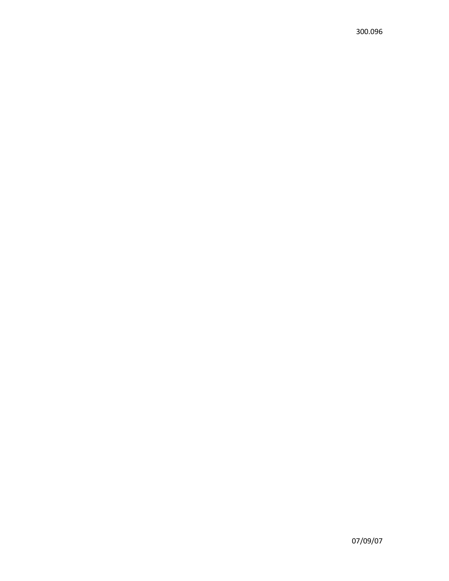300.096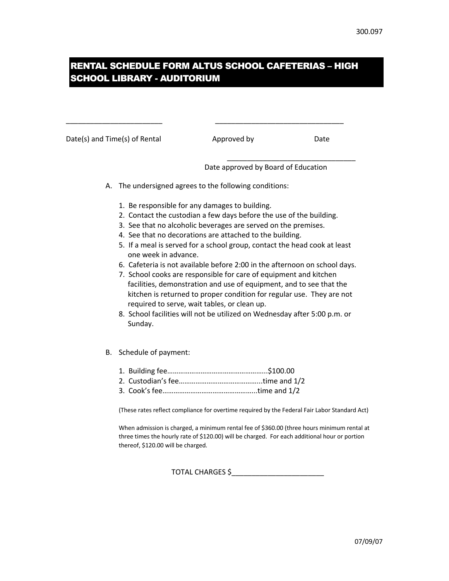### RENTAL SCHEDULE FORM ALTUS SCHOOL CAFETERIAS – HIGH SCHOOL LIBRARY - AUDITORIUM

| Date(s) and Time(s) of Rental |                                                            | Approved by                                                                                                                                                                                                                                                                                                                                                                                                                                                                                                                                                                                                                                                                                                                                                      | Date |
|-------------------------------|------------------------------------------------------------|------------------------------------------------------------------------------------------------------------------------------------------------------------------------------------------------------------------------------------------------------------------------------------------------------------------------------------------------------------------------------------------------------------------------------------------------------------------------------------------------------------------------------------------------------------------------------------------------------------------------------------------------------------------------------------------------------------------------------------------------------------------|------|
|                               |                                                            | Date approved by Board of Education                                                                                                                                                                                                                                                                                                                                                                                                                                                                                                                                                                                                                                                                                                                              |      |
| А.                            |                                                            | The undersigned agrees to the following conditions:                                                                                                                                                                                                                                                                                                                                                                                                                                                                                                                                                                                                                                                                                                              |      |
|                               | one week in advance.<br>Sunday.                            | 1. Be responsible for any damages to building.<br>2. Contact the custodian a few days before the use of the building.<br>3. See that no alcoholic beverages are served on the premises.<br>4. See that no decorations are attached to the building.<br>5. If a meal is served for a school group, contact the head cook at least<br>6. Cafeteria is not available before 2:00 in the afternoon on school days.<br>7. School cooks are responsible for care of equipment and kitchen<br>facilities, demonstration and use of equipment, and to see that the<br>kitchen is returned to proper condition for regular use. They are not<br>required to serve, wait tables, or clean up.<br>8. School facilities will not be utilized on Wednesday after 5:00 p.m. or |      |
| В.                            | Schedule of payment:<br>thereof, \$120.00 will be charged. | (These rates reflect compliance for overtime required by the Federal Fair Labor Standard Act)<br>When admission is charged, a minimum rental fee of \$360.00 (three hours minimum rental at<br>three times the hourly rate of \$120.00) will be charged. For each additional hour or portion                                                                                                                                                                                                                                                                                                                                                                                                                                                                     |      |
|                               |                                                            | TOTAL CHARGES \$                                                                                                                                                                                                                                                                                                                                                                                                                                                                                                                                                                                                                                                                                                                                                 |      |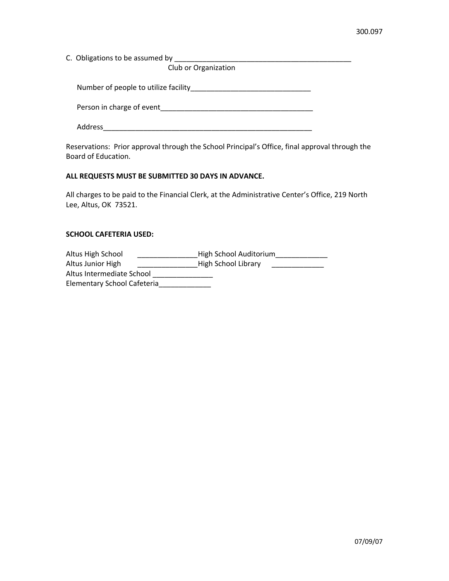C. Obligations to be assumed by \_\_\_\_\_\_\_\_\_\_\_\_\_\_\_\_\_\_\_\_\_\_\_\_\_\_\_\_\_\_\_\_\_\_\_\_\_\_\_\_\_\_\_\_

Club or Organization

| Number of people to utilize facility_ |  |
|---------------------------------------|--|
|---------------------------------------|--|

Person in charge of event\_\_\_\_\_\_\_\_\_\_\_\_\_\_\_\_\_\_\_\_\_\_\_\_\_\_\_\_\_\_\_\_\_\_\_\_\_\_

Address\_\_\_\_\_\_\_\_\_\_\_\_\_\_\_\_\_\_\_\_\_\_\_\_\_\_\_\_\_\_\_\_\_\_\_\_\_\_\_\_\_\_\_\_\_\_\_\_\_\_\_\_

Reservations: Prior approval through the School Principal's Office, final approval through the Board of Education.

#### **ALL REQUESTS MUST BE SUBMITTED 30 DAYS IN ADVANCE.**

All charges to be paid to the Financial Clerk, at the Administrative Center's Office, 219 North Lee, Altus, OK 73521.

#### **SCHOOL CAFETERIA USED:**

Altus High School \_\_\_\_\_\_\_\_\_\_\_\_\_\_\_\_\_\_\_\_High School Auditorium\_\_\_\_\_\_\_\_\_\_\_\_\_\_\_\_\_\_\_\_ Altus Junior High \_\_\_\_\_\_\_\_\_\_\_\_\_\_\_\_\_\_\_\_High School Library \_\_\_\_\_\_\_\_\_\_\_\_\_\_\_\_ Altus Intermediate School \_\_\_\_\_\_\_\_\_\_\_\_\_\_\_\_\_ Elementary School Cafeteria\_\_\_\_\_\_\_\_\_\_\_\_\_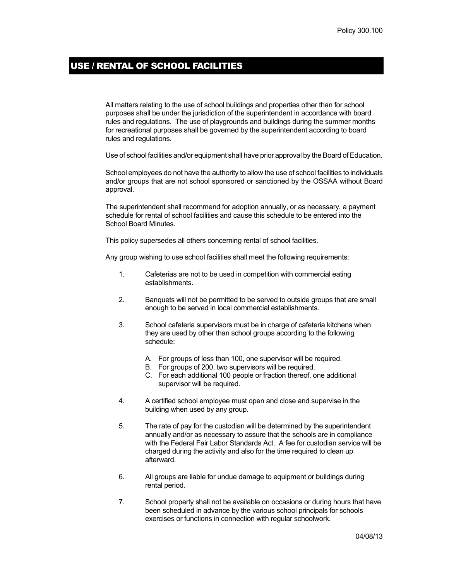### USE / RENTAL OF SCHOOL FACILITIES

All matters relating to the use of school buildings and properties other than for school purposes shall be under the jurisdiction of the superintendent in accordance with board rules and regulations. The use of playgrounds and buildings during the summer months for recreational purposes shall be governed by the superintendent according to board rules and regulations.

Use of school facilities and/or equipment shall have prior approval by the Board of Education.

School employees do not have the authority to allow the use of school facilities to individuals and/or groups that are not school sponsored or sanctioned by the OSSAA without Board approval.

The superintendent shall recommend for adoption annually, or as necessary, a payment schedule for rental of school facilities and cause this schedule to be entered into the School Board Minutes.

This policy supersedes all others concerning rental of school facilities.

Any group wishing to use school facilities shall meet the following requirements:

- 1. Cafeterias are not to be used in competition with commercial eating establishments.
- 2. Banquets will not be permitted to be served to outside groups that are small enough to be served in local commercial establishments.
- 3. School cafeteria supervisors must be in charge of cafeteria kitchens when they are used by other than school groups according to the following schedule:
	- A. For groups of less than 100, one supervisor will be required.
	- B. For groups of 200, two supervisors will be required.
	- C. For each additional 100 people or fraction thereof, one additional supervisor will be required.
- 4. A certified school employee must open and close and supervise in the building when used by any group.
- 5. The rate of pay for the custodian will be determined by the superintendent annually and/or as necessary to assure that the schools are in compliance with the Federal Fair Labor Standards Act. A fee for custodian service will be charged during the activity and also for the time required to clean up afterward.
- 6. All groups are liable for undue damage to equipment or buildings during rental period.
- 7. School property shall not be available on occasions or during hours that have been scheduled in advance by the various school principals for schools exercises or functions in connection with regular schoolwork.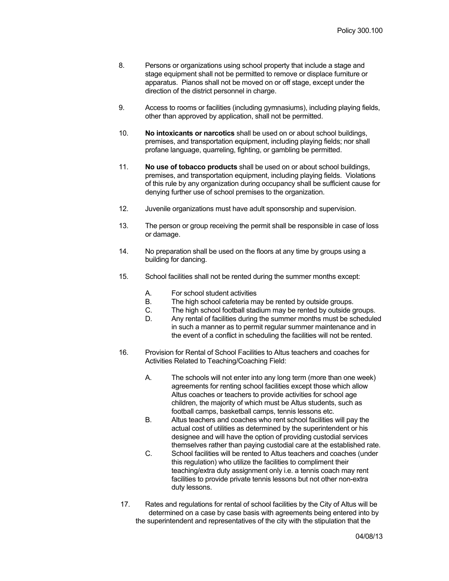- 8. Persons or organizations using school property that include a stage and stage equipment shall not be permitted to remove or displace furniture or apparatus. Pianos shall not be moved on or off stage, except under the direction of the district personnel in charge.
- 9. Access to rooms or facilities (including gymnasiums), including playing fields, other than approved by application, shall not be permitted.
- 10. **No intoxicants or narcotics** shall be used on or about school buildings, premises, and transportation equipment, including playing fields; nor shall profane language, quarreling, fighting, or gambling be permitted.
- 11. **No use of tobacco products** shall be used on or about school buildings, premises, and transportation equipment, including playing fields. Violations of this rule by any organization during occupancy shall be sufficient cause for denying further use of school premises to the organization.
- 12. Juvenile organizations must have adult sponsorship and supervision.
- 13. The person or group receiving the permit shall be responsible in case of loss or damage.
- 14. No preparation shall be used on the floors at any time by groups using a building for dancing.
- 15. School facilities shall not be rented during the summer months except:
	- A. For school student activities
	- B. The high school cafeteria may be rented by outside groups.
	- C. The high school football stadium may be rented by outside groups.
	- D. Any rental of facilities during the summer months must be scheduled in such a manner as to permit regular summer maintenance and in the event of a conflict in scheduling the facilities will not be rented.
- 16. Provision for Rental of School Facilities to Altus teachers and coaches for Activities Related to Teaching/Coaching Field:
	- A. The schools will not enter into any long term (more than one week) agreements for renting school facilities except those which allow Altus coaches or teachers to provide activities for school age children, the majority of which must be Altus students, such as football camps, basketball camps, tennis lessons etc.
	- B. Altus teachers and coaches who rent school facilities will pay the actual cost of utilities as determined by the superintendent or his designee and will have the option of providing custodial services themselves rather than paying custodial care at the established rate.
	- C. School facilities will be rented to Altus teachers and coaches (under this regulation) who utilize the facilities to compliment their teaching/extra duty assignment only i.e. a tennis coach may rent facilities to provide private tennis lessons but not other non-extra duty lessons.
- 17. Rates and regulations for rental of school facilities by the City of Altus will be determined on a case by case basis with agreements being entered into by the superintendent and representatives of the city with the stipulation that the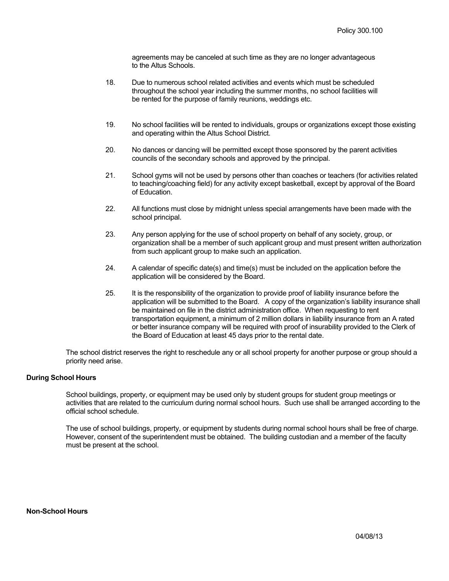agreements may be canceled at such time as they are no longer advantageous to the Altus Schools.

- 18. Due to numerous school related activities and events which must be scheduled throughout the school year including the summer months, no school facilities will be rented for the purpose of family reunions, weddings etc.
- 19. No school facilities will be rented to individuals, groups or organizations except those existing and operating within the Altus School District.
- 20. No dances or dancing will be permitted except those sponsored by the parent activities councils of the secondary schools and approved by the principal.
- 21. School gyms will not be used by persons other than coaches or teachers (for activities related to teaching/coaching field) for any activity except basketball, except by approval of the Board of Education.
- 22. All functions must close by midnight unless special arrangements have been made with the school principal.
- 23. Any person applying for the use of school property on behalf of any society, group, or organization shall be a member of such applicant group and must present written authorization from such applicant group to make such an application.
- 24. A calendar of specific date(s) and time(s) must be included on the application before the application will be considered by the Board.
- 25. It is the responsibility of the organization to provide proof of liability insurance before the application will be submitted to the Board. A copy of the organization's liability insurance shall be maintained on file in the district administration office. When requesting to rent transportation equipment, a minimum of 2 million dollars in liability insurance from an A rated or better insurance company will be required with proof of insurability provided to the Clerk of the Board of Education at least 45 days prior to the rental date.

The school district reserves the right to reschedule any or all school property for another purpose or group should a priority need arise.

#### **During School Hours**

School buildings, property, or equipment may be used only by student groups for student group meetings or activities that are related to the curriculum during normal school hours. Such use shall be arranged according to the official school schedule.

The use of school buildings, property, or equipment by students during normal school hours shall be free of charge. However, consent of the superintendent must be obtained. The building custodian and a member of the faculty must be present at the school.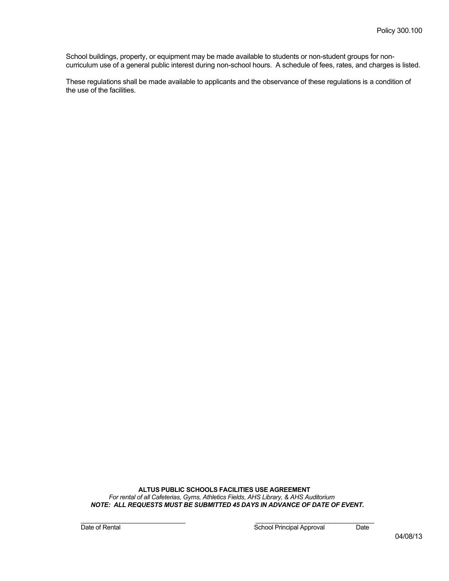School buildings, property, or equipment may be made available to students or non-student groups for noncurriculum use of a general public interest during non-school hours. A schedule of fees, rates, and charges is listed.

These regulations shall be made available to applicants and the observance of these regulations is a condition of the use of the facilities.

**ALTUS PUBLIC SCHOOLS FACILITIES USE AGREEMENT**  *For rental of all Cafeterias, Gyms, Athletics Fields, AHS Library, & AHS Auditorium NOTE: ALL REQUESTS MUST BE SUBMITTED 45 DAYS IN ADVANCE OF DATE OF EVENT.*

\_\_\_\_\_\_\_\_\_\_\_\_\_\_\_\_\_\_\_\_\_\_\_\_\_\_\_\_\_\_ \_\_\_\_\_\_\_\_\_\_\_\_\_\_\_\_\_\_\_\_\_\_\_\_\_\_\_\_\_\_\_\_\_\_

Date of Rental **Date of Rental Contract Contract Contract Contract Contract Contract Contract Contract Contract Contract Contract Contract Contract Contract Contract Contract Contract Contract Contract Contract Contract Co**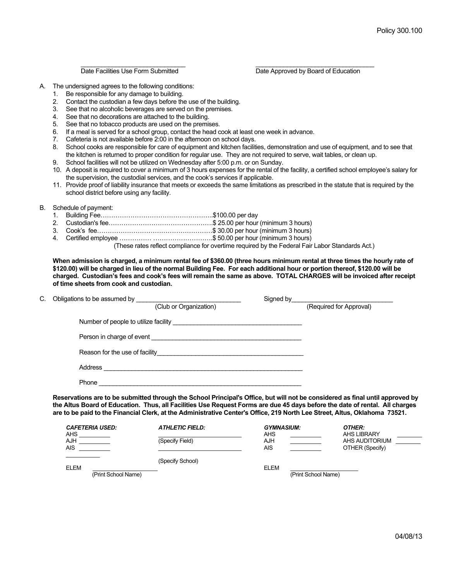$\frac{1}{2}$  ,  $\frac{1}{2}$  ,  $\frac{1}{2}$  ,  $\frac{1}{2}$  ,  $\frac{1}{2}$  ,  $\frac{1}{2}$  ,  $\frac{1}{2}$  ,  $\frac{1}{2}$  ,  $\frac{1}{2}$  ,  $\frac{1}{2}$  ,  $\frac{1}{2}$  ,  $\frac{1}{2}$  ,  $\frac{1}{2}$  ,  $\frac{1}{2}$  ,  $\frac{1}{2}$  ,  $\frac{1}{2}$  ,  $\frac{1}{2}$  ,  $\frac{1}{2}$  ,  $\frac{1$ Date Facilities Use Form Submitted Date Approved by Board of Education

- A. The undersigned agrees to the following conditions:
	- 1. Be responsible for any damage to building.
	- 2. Contact the custodian a few days before the use of the building.
	- 3. See that no alcoholic beverages are served on the premises.
	- 4. See that no decorations are attached to the building.
	- 5. See that no tobacco products are used on the premises.
	- 6. If a meal is served for a school group, contact the head cook at least one week in advance.
	- 7. Cafeteria is not available before 2:00 in the afternoon on school days.
	- 8. School cooks are responsible for care of equipment and kitchen facilities, demonstration and use of equipment, and to see that the kitchen is returned to proper condition for regular use. They are not required to serve, wait tables, or clean up.
	- 9. School facilities will not be utilized on Wednesday after 5:00 p.m. or on Sunday.
	- 10. A deposit is required to cover a minimum of 3 hours expenses for the rental of the facility, a certified school employee's salary for the supervision, the custodial services, and the cook's services if applicable.
	- 11. Provide proof of liability insurance that meets or exceeds the same limitations as prescribed in the statute that is required by the school district before using any facility.
- B. Schedule of payment:
	- 1. Building Fee……………………………………………..\$100.00 per day
	- 2. Custodian's fee………………………………………….\$ 25.00 per hour (minimum 3 hours)
	- 3. Cook's fee………………………………………………\$ 30.00 per hour (minimum 3 hours)
	- 4. Certified employee …………… ……………………….\$ 50.00 per hour (minimum 3 hours)

(These rates reflect compliance for overtime required by the Federal Fair Labor Standards Act.)

**When admission is charged, a minimum rental fee of \$360.00 (three hours minimum rental at three times the hourly rate of \$120.00) will be charged in lieu of the normal Building Fee. For each additional hour or portion thereof, \$120.00 will be charged. Custodian's fees and cook's fees will remain the same as above. TOTAL CHARGES will be invoiced after receipt of time sheets from cook and custodian.** 

| (Club or Organization) | (Required for Approval)                                                                                                                                                                                                                   |
|------------------------|-------------------------------------------------------------------------------------------------------------------------------------------------------------------------------------------------------------------------------------------|
|                        |                                                                                                                                                                                                                                           |
|                        |                                                                                                                                                                                                                                           |
|                        |                                                                                                                                                                                                                                           |
| Address                |                                                                                                                                                                                                                                           |
| Phone                  |                                                                                                                                                                                                                                           |
|                        | Reason for the use of facility <b>Example 20</b> is a set of the use of facility <b>EXAMPLE 20 is a set of the set of the set of the set of the set of the set of the set of the set of the set of the set of the set of the set of t</b> |

**Reservations are to be submitted through the School Principal's Office, but will not be considered as final until approved by the Altus Board of Education. Thus, all Facilities Use Request Forms are due 45 days before the date of rental. All charges are to be paid to the Financial Clerk, at the Administrative Center's Office, 219 North Lee Street, Altus, Oklahoma 73521.**

| <b>AHS</b>        | <b>CAFETERIA USED:</b> | <b>ATHLETIC FIELD:</b> | <b>GYMNASIUM:</b><br><b>AHS</b> |                     | OTHER:<br><b>AHS LIBRARY</b>      |  |
|-------------------|------------------------|------------------------|---------------------------------|---------------------|-----------------------------------|--|
| AJH<br><b>AIS</b> |                        | (Specify Field)        | AJH<br><b>AIS</b>               |                     | AHS AUDITORIUM<br>OTHER (Specify) |  |
| <b>ELEM</b>       |                        | (Specify School)       | <b>ELEM</b>                     |                     |                                   |  |
|                   | (Print School Name)    |                        |                                 | (Print School Name) |                                   |  |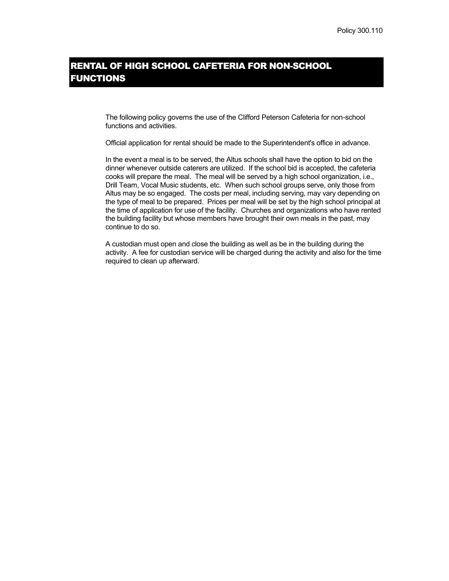### RENTAL OF HIGH SCHOOL CAFETERIA FOR NON-SCHOOL FUNCTIONS

The following policy governs the use of the Clifford Peterson Cafeteria for non-school functions and activities.

Official application for rental should be made to the Superintendent's office in advance.

In the event a meal is to be served, the Altus schools shall have the option to bid on the dinner whenever outside caterers are utilized. If the school bid is accepted, the cafeteria cooks will prepare the meal. The meal will be served by a high school organization, i.e., Drill Team, Vocal Music students, etc. When such school groups serve, only those from Altus may be so engaged. The costs per meal, including serving, may vary depending on the type of meal to be prepared. Prices per meal will be set by the high school principal at the time of application for use of the facility. Churches and organizations who have rented the building facility but whose members have brought their own meals in the past, may continue to do so.

A custodian must open and close the building as well as be in the building during the activity. A fee for custodian service will be charged during the activity and also for the time required to clean up afterward.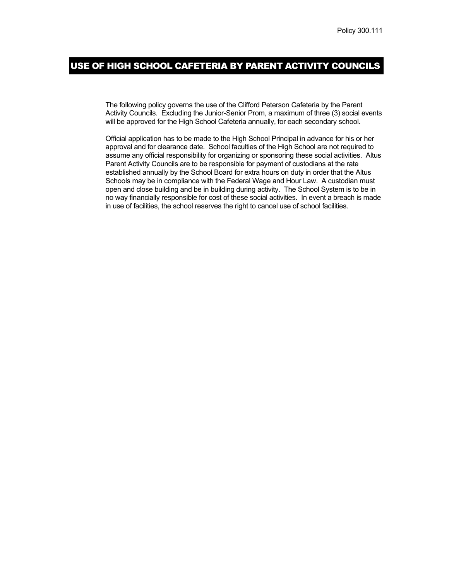### USE OF HIGH SCHOOL CAFETERIA BY PARENT ACTIVITY COUNCILS

The following policy governs the use of the Clifford Peterson Cafeteria by the Parent Activity Councils. Excluding the Junior-Senior Prom, a maximum of three (3) social events will be approved for the High School Cafeteria annually, for each secondary school.

Official application has to be made to the High School Principal in advance for his or her approval and for clearance date. School faculties of the High School are not required to assume any official responsibility for organizing or sponsoring these social activities. Altus Parent Activity Councils are to be responsible for payment of custodians at the rate established annually by the School Board for extra hours on duty in order that the Altus Schools may be in compliance with the Federal Wage and Hour Law. A custodian must open and close building and be in building during activity. The School System is to be in no way financially responsible for cost of these social activities. In event a breach is made in use of facilities, the school reserves the right to cancel use of school facilities.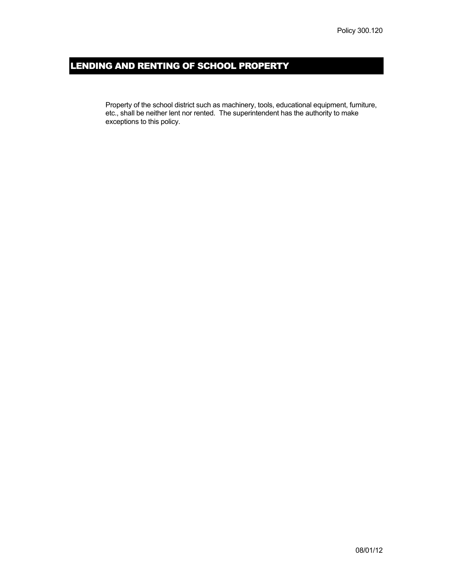## LENDING AND RENTING OF SCHOOL PROPERTY

Property of the school district such as machinery, tools, educational equipment, furniture, etc., shall be neither lent nor rented. The superintendent has the authority to make exceptions to this policy.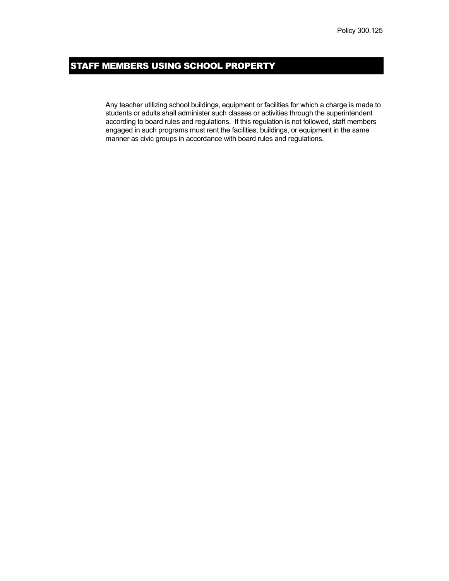### STAFF MEMBERS USING SCHOOL PROPERTY

Any teacher utilizing school buildings, equipment or facilities for which a charge is made to students or adults shall administer such classes or activities through the superintendent according to board rules and regulations. If this regulation is not followed, staff members engaged in such programs must rent the facilities, buildings, or equipment in the same manner as civic groups in accordance with board rules and regulations.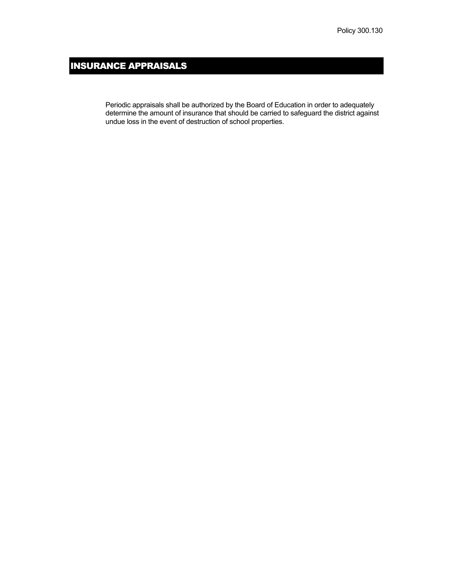# INSURANCE APPRAISALS

Periodic appraisals shall be authorized by the Board of Education in order to adequately determine the amount of insurance that should be carried to safeguard the district against undue loss in the event of destruction of school properties.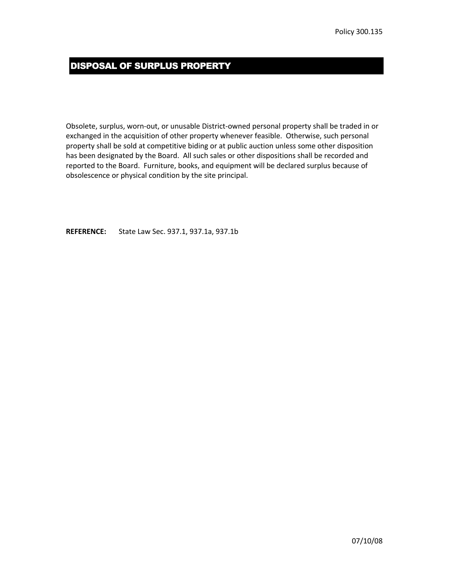### DISPOSAL OF SURPLUS PROPERTY

Obsolete, surplus, worn-out, or unusable District-owned personal property shall be traded in or exchanged in the acquisition of other property whenever feasible. Otherwise, such personal property shall be sold at competitive biding or at public auction unless some other disposition has been designated by the Board. All such sales or other dispositions shall be recorded and reported to the Board. Furniture, books, and equipment will be declared surplus because of obsolescence or physical condition by the site principal.

**REFERENCE:** State Law Sec. 937.1, 937.1a, 937.1b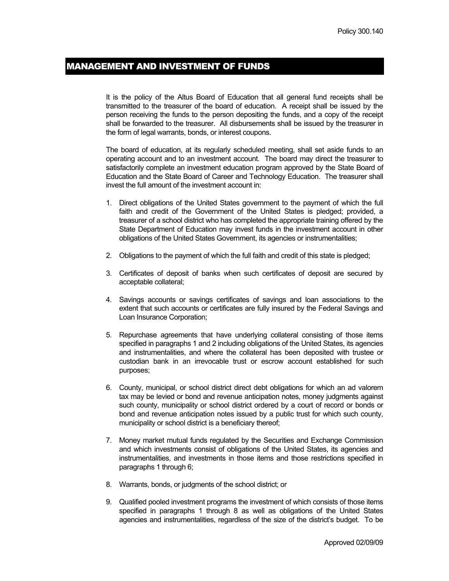### MANAGEMENT AND INVESTMENT OF FUNDS

It is the policy of the Altus Board of Education that all general fund receipts shall be transmitted to the treasurer of the board of education. A receipt shall be issued by the person receiving the funds to the person depositing the funds, and a copy of the receipt shall be forwarded to the treasurer. All disbursements shall be issued by the treasurer in the form of legal warrants, bonds, or interest coupons.

The board of education, at its regularly scheduled meeting, shall set aside funds to an operating account and to an investment account. The board may direct the treasurer to satisfactorily complete an investment education program approved by the State Board of Education and the State Board of Career and Technology Education. The treasurer shall invest the full amount of the investment account in:

- 1. Direct obligations of the United States government to the payment of which the full faith and credit of the Government of the United States is pledged; provided, a treasurer of a school district who has completed the appropriate training offered by the State Department of Education may invest funds in the investment account in other obligations of the United States Government, its agencies or instrumentalities;
- 2. Obligations to the payment of which the full faith and credit of this state is pledged;
- 3. Certificates of deposit of banks when such certificates of deposit are secured by acceptable collateral;
- 4. Savings accounts or savings certificates of savings and loan associations to the extent that such accounts or certificates are fully insured by the Federal Savings and Loan Insurance Corporation;
- 5. Repurchase agreements that have underlying collateral consisting of those items specified in paragraphs 1 and 2 including obligations of the United States, its agencies and instrumentalities, and where the collateral has been deposited with trustee or custodian bank in an irrevocable trust or escrow account established for such purposes;
- 6. County, municipal, or school district direct debt obligations for which an ad valorem tax may be levied or bond and revenue anticipation notes, money judgments against such county, municipality or school district ordered by a court of record or bonds or bond and revenue anticipation notes issued by a public trust for which such county, municipality or school district is a beneficiary thereof;
- 7. Money market mutual funds regulated by the Securities and Exchange Commission and which investments consist of obligations of the United States, its agencies and instrumentalities, and investments in those items and those restrictions specified in paragraphs 1 through 6;
- 8. Warrants, bonds, or judgments of the school district; or
- 9. Qualified pooled investment programs the investment of which consists of those items specified in paragraphs 1 through 8 as well as obligations of the United States agencies and instrumentalities, regardless of the size of the district's budget. To be